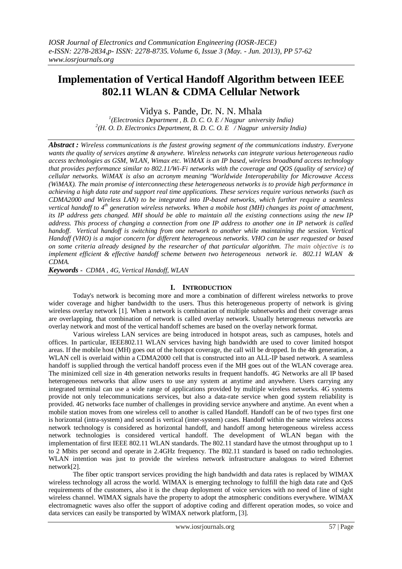# **Implementation of Vertical Handoff Algorithm between IEEE 802.11 WLAN & CDMA Cellular Network**

Vidya s. Pande, Dr. N. N. Mhala

*1 (Electronics Department , B. D. C. O. E / Nagpur university India) 2 (H. O. D. Electronics Department, B. D. C. O. E / Nagpur university India)*

*Abstract : Wireless communications is the fastest growing segment of the communications industry. Everyone wants the quality of services anytime & anywhere. Wireless networks can integrate various heterogeneous radio access technologies as GSM, WLAN, Wimax etc. WiMAX is an IP based, wireless broadband access technology that provides performance similar to 802.11/Wi-Fi networks with the coverage and OOS (quality of service) of cellular networks. WiMAX is also an acronym meaning "Worldwide Interoperability for Microwave Access (WiMAX). The main promise of interconnecting these heterogeneous networks is to provide high performance in achieving a high data rate and support real time applications. These services require various networks (such as CDMA2000 and Wireless LAN) to be integrated into IP-based networks, which further require a seamless vertical handoff to 4th generation wireless networks. When a mobile host (MH) changes its point of attachment, its IP address gets changed. MH should be able to maintain all the existing connections using the new IP address. This process of changing a connection from one IP address to another one in IP network is called handoff. Vertical handoff is switching from one network to another while maintaining the session. Vertical Handoff (VHO) is a major concern for different heterogeneous networks. VHO can be user requested or based on some criteria already designed by the researcher of that particular algorithm. The main objective is to implement efficient & effective handoff scheme between two heterogeneous network ie. 802.11 WLAN & CDMA.*

*Keywords - CDMA , 4G, Vertical Handoff, WLAN* 

## **I. INTRODUCTION**

Today's network is becoming more and more a combination of different wireless networks to prove wider coverage and higher bandwidth to the users. Thus this heterogeneous property of network is giving wireless overlay network [1]. When a network is combination of multiple subnetworks and their coverage areas are overlapping, that combination of network is called overlay network. Usually heterogeneous networks are overlay network and most of the vertical handoff schemes are based on the overlay network format.

Various wireless LAN services are being introduced in hotspot areas, such as campuses, hotels and offices. In particular, IEEE802.11 WLAN services having high bandwidth are used to cover limited hotspot areas. If the mobile host (MH) goes out of the hotspot coverage, the call will be dropped. In the 4th generation, a WLAN cell is overlaid within a CDMA2000 cell that is constructed into an ALL-IP based network. A seamless handoff is supplied through the vertical handoff process even if the MH goes out of the WLAN coverage area. The minimized cell size in 4th generation networks results in frequent handoffs. 4G Networks are all IP based heterogeneous networks that allow users to use any system at anytime and anywhere. Users carrying any integrated terminal can use a wide range of applications provided by multiple wireless networks. 4G systems provide not only telecommunications services, but also a data-rate service when good system reliability is provided. 4G networks face number of challenges in providing service anywhere and anytime. An event when a mobile station moves from one wireless cell to another is called Handoff. Handoff can be of two types first one is horizontal (intra-system) and second is vertical (inter-system) cases. Handoff within the same wireless access network technology is considered as horizontal handoff, and handoff among heterogeneous wireless access network technologies is considered vertical handoff. The development of WLAN began with the implementation of first IEEE 802.11 WLAN standards. The 802.11 standard have the utmost throughput up to 1 to 2 Mbits per second and operate in 2.4GHz frequency. The 802.11 standard is based on radio technologies. WLAN intention was just to provide the wireless network infrastructure analogous to wired Ethernet network[2].

The fiber optic transport services providing the high bandwidth and data rates is replaced by WIMAX wireless technology all across the world. WIMAX is emerging technology to fulfill the high data rate and QoS requirements of the customers, also it is the cheap deployment of voice services with no need of line of sight wireless channel. WIMAX signals have the property to adopt the atmospheric conditions everywhere. WIMAX electromagnetic waves also offer the support of adoptive coding and different operation modes, so voice and data services can easily be transported by WIMAX network platform, [3].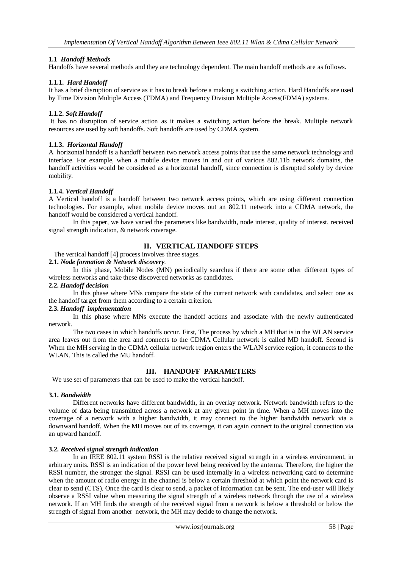## **1.1** *Handoff Methods*

Handoffs have several methods and they are technology dependent. The main handoff methods are as follows.

#### **1.1.1.** *Hard Handoff*

It has a brief disruption of service as it has to break before a making a switching action. Hard Handoffs are used by Time Division Multiple Access (TDMA) and Frequency Division Multiple Access(FDMA) systems.

#### **1.1.2.** *Soft Handoff*

It has no disruption of service action as it makes a switching action before the break. Multiple network resources are used by soft handoffs. Soft handoffs are used by CDMA system.

#### **1.1.3.** *Horizontal Handoff*

A horizontal handoff is a handoff between two network access points that use the same network technology and interface. For example, when a mobile device moves in and out of various 802.11b network domains, the handoff activities would be considered as a horizontal handoff, since connection is disrupted solely by device mobility.

#### **1.1.4.** *Vertical Handoff*

A Vertical handoff is a handoff between two network access points, which are using different connection technologies. For example, when mobile device moves out an 802.11 network into a CDMA network, the handoff would be considered a vertical handoff.

In this paper, we have varied the parameters like bandwidth, node interest, quality of interest, received signal strength indication, & network coverage.

## **II. VERTICAL HANDOFF STEPS**

The vertical handoff [4] process involves three stages.

## **2.1.** *Node formation & Network discovery.*

In this phase, Mobile Nodes (MN) periodically searches if there are some other different types of wireless networks and take these discovered networks as candidates.

#### **2.2.** *Handoff decision*

In this phase where MNs compare the state of the current network with candidates, and select one as the handoff target from them according to a certain criterion.

#### **2.3.** *Handoff implementation*

In this phase where MNs execute the handoff actions and associate with the newly authenticated network.

 The two cases in which handoffs occur. First, The process by which a MH that is in the WLAN service area leaves out from the area and connects to the CDMA Cellular network is called MD handoff. Second is When the MH serving in the CDMA cellular network region enters the WLAN service region, it connects to the WLAN. This is called the MU handoff.

## **III. HANDOFF PARAMETERS**

We use set of parameters that can be used to make the vertical handoff.

#### **3.1.** *Bandwidth*

Different networks have different bandwidth, in an overlay network. Network bandwidth refers to the volume of data being transmitted across a network at any given point in time. When a MH moves into the coverage of a network with a higher bandwidth, it may connect to the higher bandwidth network via a downward handoff. When the MH moves out of its coverage, it can again connect to the original connection via an upward handoff.

#### **3.2.** *Received signal strength indication*

In an IEEE 802.11 system RSSI is the relative received [signal strength](http://en.wikipedia.org/wiki/Signal_strength) in a [wireless](http://en.wikipedia.org/wiki/Wireless) environment, in arbitrary units. RSSI is an indication of the power level being received by the antenna. Therefore, the higher the RSSI number, the stronger the signal. RSSI can be used internally in a [wireless networking](http://en.wikipedia.org/wiki/Wireless_LAN) card to determine when the amount of radio energy in the channel is below a certain threshold at which point the network card is [clear to send](http://en.wikipedia.org/wiki/IEEE_802.11_RTS/CTS) (CTS). Once the card is clear to send, a [packet](http://en.wikipedia.org/wiki/Packet_%28information_technology%29) of information can be sent. The [end-user](http://en.wikipedia.org/wiki/End-user) will likely observe a RSSI value when measuring the signal strength of a wireless network through the use of a [wireless](http://en.wikipedia.org/wiki/Wireless_LAN)  [network.](http://en.wikipedia.org/wiki/Wireless_LAN) If an MH finds the strength of the received signal from a network is below a threshold or below the strength of signal from another network, the MH may decide to change the network.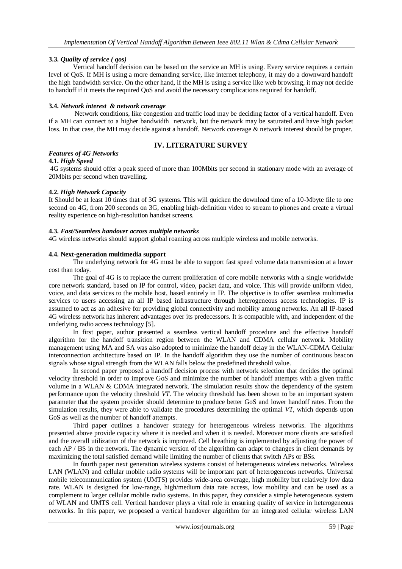## **3.3.** *Quality of service ( qos)*

Vertical handoff decision can be based on the service an MH is using. Every service requires a certain level of QoS. If MH is using a more demanding service, like internet telephony, it may do a downward handoff the high bandwidth service. On the other hand, if the MH is using a service like web browsing, it may not decide to handoff if it meets the required QoS and avoid the necessary complications required for handoff.

#### **3.4.** *Network interest & network coverage*

Network conditions, like congestion and traffic load may be deciding factor of a vertical handoff. Even if a MH can connect to a higher bandwidth network, but the network may be saturated and have high packet loss. In that case, the MH may decide against a handoff. Network coverage & network interest should be proper.

# *Features of 4G Networks*

## **IV. LITERATURE SURVEY**

#### **4.1.** *High Speed*

4G systems should offer a peak speed of more than 100Mbits per second in stationary mode with an average of 20Mbits per second when travelling.

#### **4.2.** *High Network Capacity*

It Should be at least 10 times that of 3G systems. This will quicken the download time of a 10-Mbyte file to one second on 4G, from 200 seconds on 3G, enabling high-definition video to stream to phones and create a virtual reality experience on high-resolution handset screens.

#### **4.3.** *Fast/Seamless handover across multiple networks*

4G wireless networks should support global roaming across multiple wireless and mobile networks.

#### **4.4. Next-generation multimedia support**

The underlying network for 4G must be able to support fast speed volume data transmission at a lower cost than today.

The goal of 4G is to replace the current proliferation of core mobile networks with a single worldwide core network standard, based on IP for control, video, packet data, and voice. This will provide uniform video, voice, and data services to the mobile host, based entirely in IP. The objective is to offer seamless multimedia services to users accessing an all IP based infrastructure through heterogeneous access technologies. IP is assumed to act as an adhesive for providing global connectivity and mobility among networks. An all IP-based 4G wireless network has inherent advantages over its predecessors. It is compatible with, and independent of the underlying radio access technology [5].

In first paper, author presented a seamless vertical handoff procedure and the effective handoff algorithm for the handoff transition region between the WLAN and CDMA cellular network. Mobility management using MA and SA was also adopted to minimize the handoff delay in the WLAN-CDMA Cellular interconnection architecture based on IP. In the handoff algorithm they use the number of continuous beacon signals whose signal strength from the WLAN falls below the predefined threshold value.

In second paper proposed a handoff decision process with network selection that decides the optimal velocity threshold in order to improve GoS and minimize the number of handoff attempts with a given traffic volume in a WLAN & CDMA integrated network. The simulation results show the dependency of the system performance upon the velocity threshold *VT*. The velocity threshold has been shown to be an important system parameter that the system provider should determine to produce better GoS and lower handoff rates. From the simulation results, they were able to validate the procedures determining the optimal *VT*, which depends upon GoS as well as the number of handoff attempts.

Third paper outlines a handover strategy for heterogeneous wireless networks. The algorithms presented above provide capacity where it is needed and when it is needed. Moreover more clients are satisfied and the overall utilization of the network is improved. Cell breathing is implemented by adjusting the power of each AP / BS in the network. The dynamic version of the algorithm can adapt to changes in client demands by maximizing the total satisfied demand while limiting the number of clients that switch APs or BSs.

In fourth paper next generation wireless systems consist of heterogeneous wireless networks. Wireless LAN (WLAN) and cellular mobile radio systems will be important part of heterogeneous networks. Universal mobile telecommunication system (UMTS) provides wide-area coverage, high mobility but relatively low data rate. WLAN is designed for low-range, high/medium data rate access, low mobility and can be used as a complement to larger cellular mobile radio systems. In this paper, they consider a simple heterogeneous system of WLAN and UMTS cell. Vertical handover plays a vital role in ensuring quality of service in heterogeneous networks. In this paper, we proposed a vertical handover algorithm for an integrated cellular wireless LAN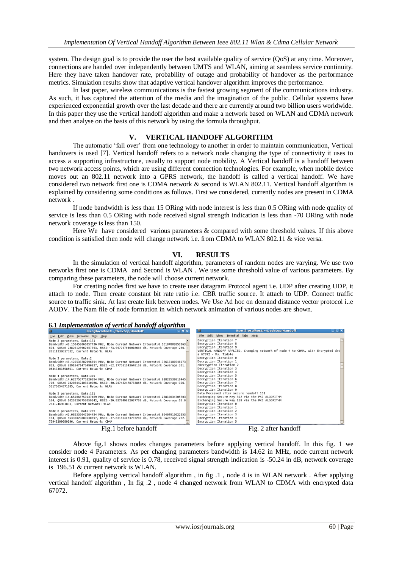system. The design goal is to provide the user the best available quality of service (QoS) at any time. Moreover, connections are handed over independently between UMTS and WLAN, aiming at seamless service continuity. Here they have taken handover rate, probability of outage and probability of handover as the performance metrics. Simulation results show that adaptive vertical handover algorithm improves the performance.

In last paper, wireless communications is the fastest growing segment of the communications industry. As such, it has captured the attention of the media and the imagination of the public. Cellular systems have experienced exponential growth over the last decade and there are currently around two billion users worldwide. In this paper they use the vertical handoff algorithm and make a network based on WLAN and CDMA network and then analyse on the basis of this network by using the formula throughput.

## **V. VERTICAL HANDOFF ALGORITHM**

 The automatic "fall over" from one technology to another in order to maintain communication, Vertical handovers is used [7]. Vertical handoff refers to a network node changing the type of connectivity it uses to access a supporting infrastructure, usually to support node mobility. A Vertical handoff is a handoff between two network access points, which are using different connection technologies. For example, when mobile device moves out an 802.11 network into a GPRS network, the handoff is called a vertical handoff. We have considered two network first one is CDMA network & second is WLAN 802.11. Vertical handoff algorithm is explained by considering some conditions as follows. First we considered, currently nodes are present in CDMA network .

If node bandwidth is less than 15 ORing with node interest is less than 0.5 ORing with node quality of service is less than 0.5 ORing with node received signal strength indication is less than -70 ORing with node network coverage is less than 150.

Here We have considered various parameters & compared with some threshold values. If this above condition is satisfied then node will change network i.e. from CDMA to WLAN 802.11 & vice versa.

## **VI. RESULTS**

 In the simulation of vertical handoff algorithm, parameters of random nodes are varying. We use two networks first one is CDMA and Second is WLAN . We use some threshold value of various parameters. By comparing these parameters, the node will choose current network.

For creating nodes first we have to create user datagram Protocol agent i.e. UDP after creating UDP, it attach to node. Then create constant bit rate ratio i.e. CBR traffic source. It attach to UDP. Connect traffic source to traffic sink. At last create link between nodes. We Use Ad hoc on demand distance vector protocol i..e AODV. The Nam file of node formation in which network animation of various nodes are shown.

#### **6.1** *Implementation of vertical handoff algorithm*

| User@localhost:~/Desktop/Handoff                                                   | $-$ 0 $\times$ |                                        |  | <b>USER WIDCANNOSC.</b> Presktop/HandOn          |                                                                                  |
|------------------------------------------------------------------------------------|----------------|----------------------------------------|--|--------------------------------------------------|----------------------------------------------------------------------------------|
| File Edit View Terminal Tabs Help                                                  |                | File Edit View Terminal Tabs Help      |  |                                                  |                                                                                  |
| Node 2 parameters, Data:171                                                        |                | Encryption Iteration 7                 |  |                                                  |                                                                                  |
| Bandwidth:43.150453066057736 MHz, Node Current Network Interest:0.16107802053963   |                | Encryption Iteration 8                 |  |                                                  |                                                                                  |
| 674, 005:0.23829120967457593, RSSI:-73.947797046018664 dB, Network Coverage:236.   |                | Encryption Iteration 9                 |  |                                                  |                                                                                  |
| 20111338617332, Current Network: WLAN                                              |                |                                        |  |                                                  | VERTICAL HANDOFF APPLIED, Changing network of node 4 to CDMA, with Encrypted dat |
|                                                                                    |                | a 67072 - Ms. Tidole                   |  |                                                  |                                                                                  |
| Node 3 parameters, Data:2                                                          |                | Decryption Iteration 0                 |  |                                                  |                                                                                  |
| Bandwidth:46.422536282996894 MHz, Node Current Network Interest:0.72612180548073   |                | Decryption Iteration 1                 |  |                                                  |                                                                                  |
| 813, QOS:0.92918471476490827, RSSI:-62.177581143648169 dB, Network Coverage:201.   |                | cDecryption Iteration 2                |  |                                                  |                                                                                  |
| 06343361598601, Current Network: CDMA                                              |                | Decryption Iteration 3                 |  |                                                  |                                                                                  |
|                                                                                    |                | Decryption Iteration 4                 |  |                                                  |                                                                                  |
| Node 4 parameters, Data:369                                                        |                | Decryption Iteration 5                 |  |                                                  |                                                                                  |
| Bandwidth: 14.625756775320394 MHz, Node Current Network Interest: 0.91823538016445 |                | Decryption Iteration 6                 |  |                                                  |                                                                                  |
| 716, 005:0.78203442403210066, RSSI:-50.247482478733865 dB, Network Coverage:196.   |                | Decryption Iteration 7                 |  |                                                  |                                                                                  |
| 51176654571285, Current Network: WLAN                                              |                | Decryption Iteration 8                 |  |                                                  |                                                                                  |
|                                                                                    |                | Decryption Iteration 9                 |  |                                                  |                                                                                  |
| Node 5 parameters, Data:131                                                        |                | Data Received after secure handoff 131 |  |                                                  |                                                                                  |
| Bandwidth:14.652066759137469 MHz, Node Current Network Interest:0.28810034705703   |                |                                        |  | Exchanging Secure Key: 512 via the PKI ALGORITHM |                                                                                  |
| 164, 005:0.10253298753059142, RSSI:-20.937949852057709 dB, Network Coverage:55.0   |                |                                        |  | Exchanging Secure Key:128 via the PKI ALGORITHM  |                                                                                  |
| 2531246981831, Current Network: WLAN                                               |                | Encryption Iteration 0                 |  |                                                  |                                                                                  |
|                                                                                    |                | Encryption Iteration 1                 |  |                                                  |                                                                                  |
| Node 6 parameters, Data:209                                                        |                | Encryption Iteration 2                 |  |                                                  |                                                                                  |
| Bandwidth:42.085336047264434 MHz, Node Current Network Interest:0.80404910622353   |                | Encryption Iteration 3                 |  |                                                  |                                                                                  |
| 154, 00S:0.65332829889530697, RSSI:-37.631404073737286 dB, Network Coverage:272.   |                | Encryption Iteration 4                 |  |                                                  |                                                                                  |
| 75948299689196, Current Network: CDMA                                              |                | Encryption Iteration 5                 |  |                                                  |                                                                                  |
| Fig.1 before handoff                                                               |                | Fig. 2 after handoff                   |  |                                                  |                                                                                  |
|                                                                                    |                |                                        |  |                                                  |                                                                                  |

Above fig.1 shows nodes changes parameters before applying vertical handoff. In this fig. 1 we consider node 4 Parameters. As per changing parameters bandwidth is 14.62 in MHz, node current network interest is 0.91, quality of service is 0.78, received signal strength indication is -50.24 in dB, network coverage is 196.51 & current network is WLAN.

Before applying vertical handoff algorithm , in fig .1 , node 4 is in WLAN network . After applying vertical handoff algorithm , In fig .2 , node 4 changed network from WLAN to CDMA with encrypted data 67072.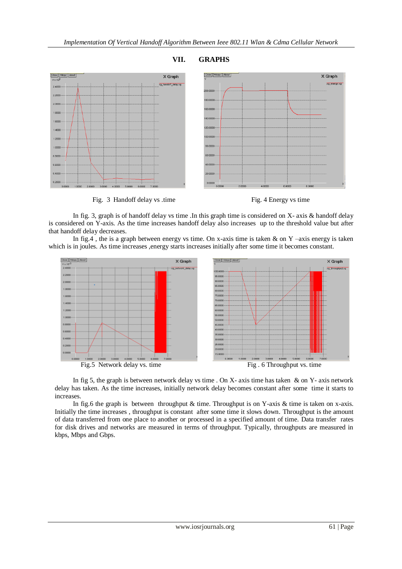

## **VII. GRAPHS**

Fig. 3 Handoff delay vs .time Fig. 4 Energy vs time



In fig. 3, graph is of handoff delay vs time .In this graph time is considered on X- axis & handoff delay is considered on Y-axis. As the time increases handoff delay also increases up to the threshold value but after that handoff delay decreases.

In fig.4, the is a graph between energy vs time. On x-axis time is taken & on Y –axis energy is taken which is in joules. As time increases ,energy starts increases initially after some time it becomes constant.



In fig 5, the graph is between network delay vs time . On X- axis time has taken  $\&$  on Y- axis network delay has taken. As the time increases, initially network delay becomes constant after some time it starts to increases.

In fig.6 the graph is between throughput & time. Throughput is on Y-axis & time is taken on x-axis. Initially the time increases , throughput is constant after some time it slows down. Throughput is the amount of [data](http://www.webopedia.com/TERM/D/data.html) transferred from one place to another or processed in a specified amount of time. [Data transfer rates](http://www.webopedia.com/TERM/D/data_transfer_rate.html) for [disk drives](http://www.webopedia.com/TERM/D/disk_drive.html) and [networks](http://www.webopedia.com/TERM/N/network.html) are measured in terms of throughput. Typically, throughputs are measured in [kbps,](http://www.webopedia.com/TERM/K/Kbps.html) [Mbps](http://www.webopedia.com/TERM/M/Mbps.html) an[d Gbps.](http://www.webopedia.com/TERM/G/Gbps.html)